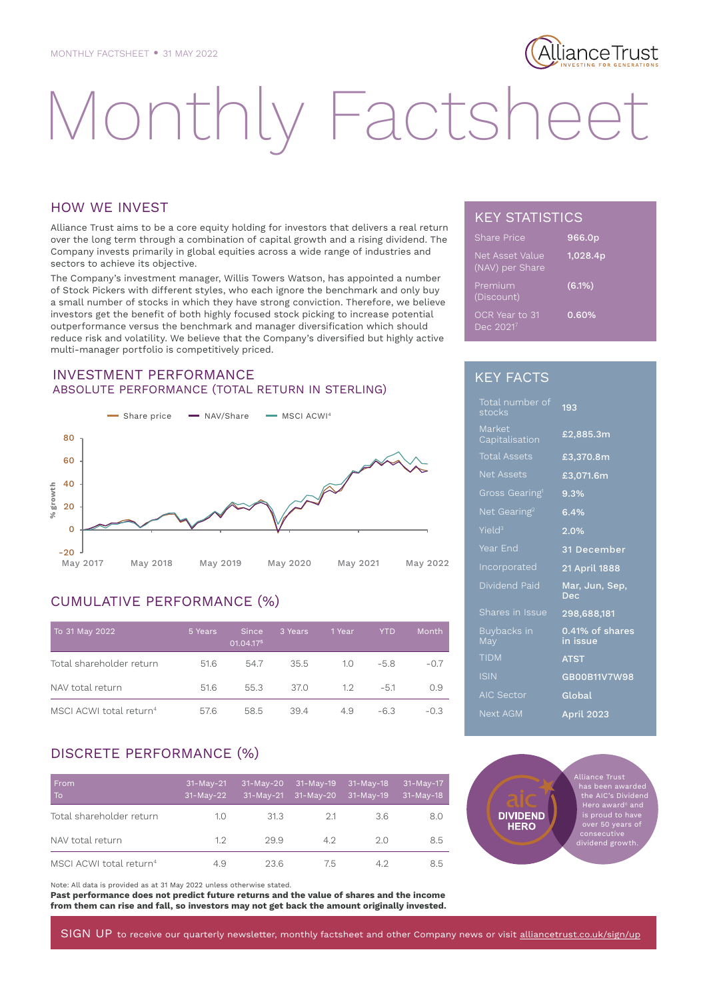## lianceTrust

# Monthly Factshee

#### HOW WE INVEST

Alliance Trust aims to be a core equity holding for investors that delivers a real return over the long term through a combination of capital growth and a rising dividend. The Company invests primarily in global equities across a wide range of industries and sectors to achieve its objective.

The Company's investment manager, Willis Towers Watson, has appointed a number of Stock Pickers with different styles, who each ignore the benchmark and only buy a small number of stocks in which they have strong conviction. Therefore, we believe investors get the benefit of both highly focused stock picking to increase potential outperformance versus the benchmark and manager diversification which should reduce risk and volatility. We believe that the Company's diversified but highly active multi-manager portfolio is competitively priced.

#### INVESTMENT PERFORMANCE ABSOLUTE PERFORMANCE (TOTAL RETURN IN STERLING)



### CUMULATIVE PERFORMANCE (%)

| To 31 May 2022                      | 5 Years | <b>Since</b><br>01.04.175 | 3 Years | 1 Year | YTD.   | Month  |
|-------------------------------------|---------|---------------------------|---------|--------|--------|--------|
| Total shareholder return            | 51.6    | 54.7                      | 35.5    | 1.0    | $-5.8$ | $-0.7$ |
| NAV total return                    | 51.6    | 55.3                      | 37.0    | 1.2    | $-5.1$ | 0.9    |
| MSCI ACWI total return <sup>4</sup> | 57.6    | 58.5                      | 39.4    | 4.9    | $-6.3$ | $-0.3$ |

#### DISCRETE PERFORMANCE (%)

| <b>From</b><br>To                   | $31-May-21$<br>$31-May-22$ | $31-May-20$<br>$31-May-21$ | $31-May-19$<br>$31-May-20$ | $31-May-18$<br>31-May-19 | $31 - May - 17$<br>$31-May-18$ |
|-------------------------------------|----------------------------|----------------------------|----------------------------|--------------------------|--------------------------------|
| Total shareholder return            | 1.0                        | 31.3                       | 21                         | 3.6                      | 8.0                            |
| NAV total return                    | 1.2                        | 29.9                       | 42                         | 20                       | 8.5                            |
| MSCI ACWI total return <sup>4</sup> | 4.9                        | 23.6                       | 75                         | 42                       | 8.5                            |

Note: All data is provided as at 31 May 2022 unless otherwise stated.

**Past performance does not predict future returns and the value of shares and the income from them can rise and fall, so investors may not get back the amount originally invested.**

#### KEY STATISTICS

| <b>Share Price</b>                 | 966.0p   |
|------------------------------------|----------|
| Net Asset Value<br>(NAV) per Share | 1,028.4p |
| Premium<br>(Discount)              | (6.1%)   |
| OCR Year to 31<br>Dec 20217        | 0.60%    |

#### KEY FACTS

| Total number of<br>stocks  | 193                          |
|----------------------------|------------------------------|
| Market<br>Capitalisation   | £2,885.3m                    |
| <b>Total Assets</b>        | £3,370.8m                    |
| <b>Net Assets</b>          | £3.071.6m                    |
| Gross Gearing <sup>1</sup> | 9.3%                         |
| Net Gearing <sup>2</sup>   | 6.4%                         |
| Yield <sup>3</sup>         | 2.0%                         |
| Year End                   | 31 December                  |
| Incorporated               | 21 April 1888                |
| Dividend Paid              | Mar, Jun, Sep,<br><b>Dec</b> |
| Shares in Issue            | 298,688,181                  |
| Buybacks in<br>May         | 0.41% of shares<br>in issue  |
| <b>TIDM</b>                | <b>ATST</b>                  |
| <b>ISIN</b>                | GB00B11V7W98                 |
| <b>AIC Sector</b>          | Global                       |
| Next AGM                   | April 2023                   |

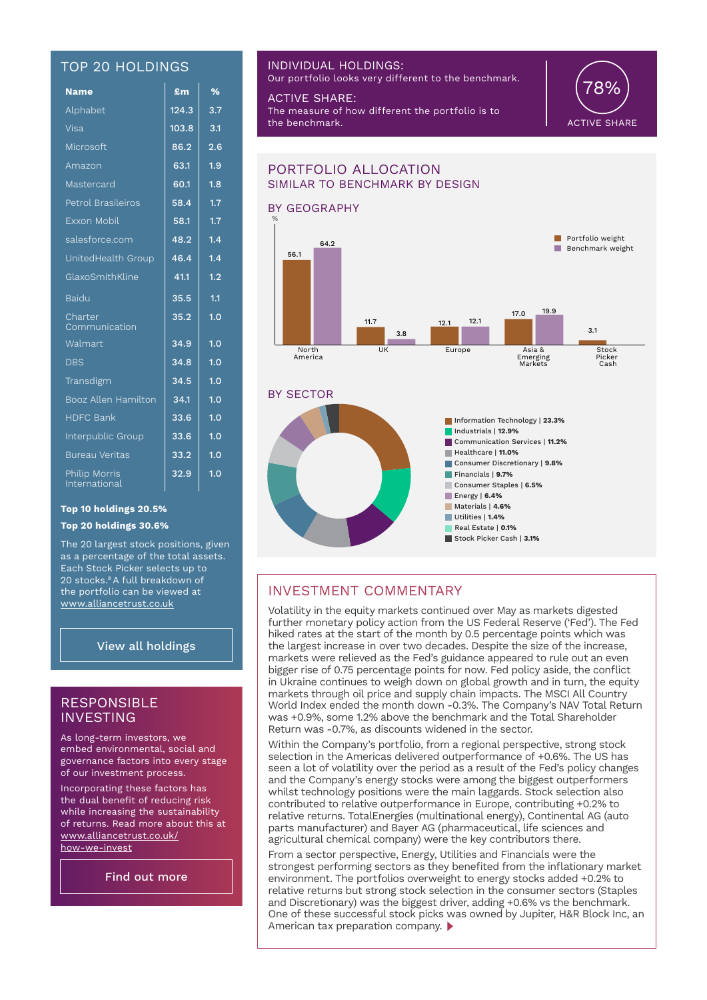#### TOP 20 HOLDINGS

| <u>Name</u>                           | £m    | %   |
|---------------------------------------|-------|-----|
| Alphabet                              | 124.3 | 3.7 |
| Visa                                  | 103.8 | 3.1 |
| Microsoft                             | 86.2  | 2.6 |
| Amazon                                | 63.1  | 1.9 |
| Mastercard                            | 60.1  | 1.8 |
| Petrol Brasileiros                    | 58.4  | 1.7 |
| Exxon Mobil                           | 58.1  | 1.7 |
| salesforce.com                        | 48.2  | 1.4 |
| UnitedHealth Group                    | 46.4  | 1.4 |
| GlaxoSmithKline                       | 41.1  | 1.2 |
| <b>Baidu</b>                          | 35.5  | 1.1 |
| Charter<br>Communication              | 35.2  | 1.0 |
| Walmart                               | 34.9  | 1.0 |
| <b>DBS</b>                            | 34.8  | 1.0 |
| Transdigm                             | 34.5  | 1.0 |
| Booz Allen Hamilton                   | 34.1  | 1.0 |
| <b>HDFC Bank</b>                      | 33.6  | 1.0 |
| Interpublic Group                     | 33.6  | 1.0 |
| <b>Bureau Veritas</b>                 | 33.2  | 1.0 |
| <b>Philip Morris</b><br>International | 32.9  | 1.0 |

#### INDIVIDUAL HOLDINGS:

Our portfolio looks very different to the benchmark.

ACTIVE SHARE: The measure of how different the portfolio is to the benchmark.



#### BY GEOGRAPHY BY SECTOR PORTFOLIO ALLOCATION SIMILAR TO BENCHMARK BY DESIGN North America UK Europe Asia & Emerging Markets **Stock** Picker Cash **Europe**  $B$ enchmark weight **Portfolio weight** % Information Technology | **23.3%** Industrials | **12.9%**  Communication Services | **11.2%**  Healthcare | **11.0%** Consumer Discretionary | **9.8%** Financials | **9.7%** Consumer Staples | **6.5%** Energy | **6.4%**  Materials | **4.6%** Utilities | **1.4%** Real Estate | **0.1%** Stock Picker Cash | **3.1%** 56.1 11.7 12.1 17.0 3.1 64.2 3.8 12.1 19.9

#### INVESTMENT COMMENTARY

Volatility in the equity markets continued over May as markets digested further monetary policy action from the US Federal Reserve ('Fed'). The Fed hiked rates at the start of the month by 0.5 percentage points which was the largest increase in over two decades. Despite the size of the increase, markets were relieved as the Fed's guidance appeared to rule out an even bigger rise of 0.75 percentage points for now. Fed policy aside, the conflict in Ukraine continues to weigh down on global growth and in turn, the equity markets through oil price and supply chain impacts. The MSCI All Country World Index ended the month down -0.3%. The Company's NAV Total Return was +0.9%, some 1.2% above the benchmark and the Total Shareholder Return was -0.7%, as discounts widened in the sector.

Within the Company's portfolio, from a regional perspective, strong stock selection in the Americas delivered outperformance of +0.6%. The US has seen a lot of volatility over the period as a result of the Fed's policy changes and the Company's energy stocks were among the biggest outperformers whilst technology positions were the main laggards. Stock selection also contributed to relative outperformance in Europe, contributing +0.2% to relative returns. TotalEnergies (multinational energy), Continental AG (auto parts manufacturer) and Bayer AG (pharmaceutical, life sciences and agricultural chemical company) were the key contributors there.

From a sector perspective, Energy, Utilities and Financials were the strongest performing sectors as they benefited from the inflationary market environment. The portfolios overweight to energy stocks added +0.2% to relative returns but strong stock selection in the consumer sectors (Staples and Discretionary) was the biggest driver, adding +0.6% vs the benchmark. One of these successful stock picks was owned by Jupiter, H&R Block Inc, an American tax preparation company.

**Top 10 holdings 20.5%** 

#### **Top 20 holdings 30.6%**

The 20 largest stock positions, given as a percentage of the total assets. Each Stock Picker selects up to 20 stocks.<sup>8</sup> A full breakdown of the portfolio can be viewed at www.alliancetrust.co.uk

#### View all holdings

#### RESPONSIBLE INVESTING

As long-term investors, we embed environmental, social and governance factors into every stage of our investment process.

Incorporating these factors has the dual benefit of reducing risk while increasing the sustainability of returns. Read more about this at www.alliancetrust.co.uk/ how-we-invest

Find out more